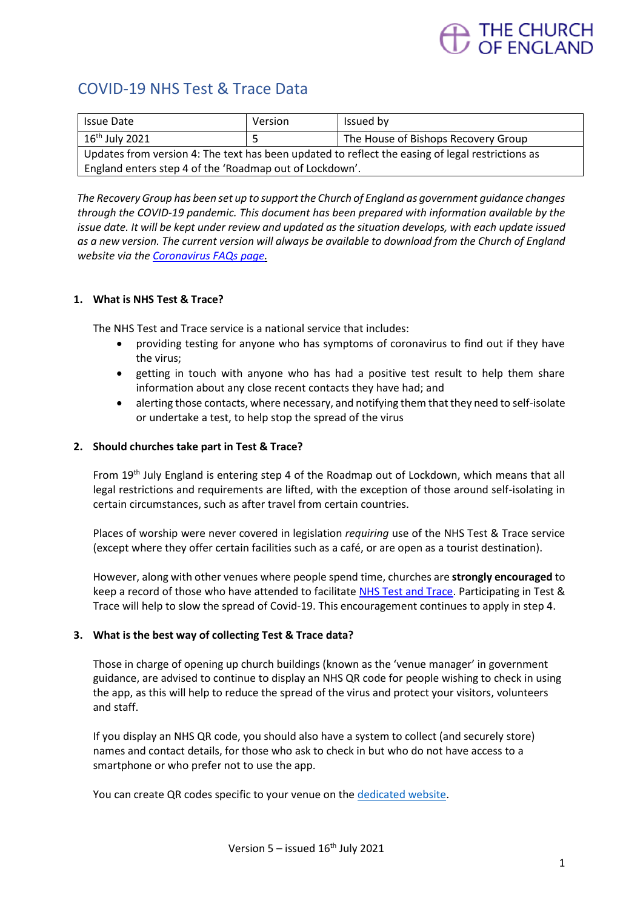# THE CHURCH<br>OF ENGLAND

# COVID-19 NHS Test & Trace Data

| <b>Issue Date</b>                                                                                | Version | Issued by                           |
|--------------------------------------------------------------------------------------------------|---------|-------------------------------------|
| $16^{\text{th}}$ July 2021                                                                       |         | The House of Bishops Recovery Group |
| Updates from version 4: The text has been updated to reflect the easing of legal restrictions as |         |                                     |
| England enters step 4 of the 'Roadmap out of Lockdown'.                                          |         |                                     |

*The Recovery Group has been set up to support the Church of England as government guidance changes through the COVID-19 pandemic. This document has been prepared with information available by the issue date. It will be kept under review and updated as the situation develops, with each update issued as a new version. The current version will always be available to download from the Church of England website via th[e Coronavirus FAQs page.](https://www.churchofengland.org/more/media-centre/coronavirus-covid-19-guidance-churches)*

# **1. What is NHS Test & Trace?**

The NHS Test and Trace service is a national service that includes:

- providing testing for anyone who has symptoms of coronavirus to find out if they have the virus;
- getting in touch with anyone who has had a positive test result to help them share information about any close recent contacts they have had; and
- alerting those contacts, where necessary, and notifying them that they need to self-isolate or undertake a test, to help stop the spread of the virus

### **2. Should churches take part in Test & Trace?**

From 19th July England is entering step 4 of the Roadmap out of Lockdown, which means that all legal restrictions and requirements are lifted, with the exception of those around self-isolating in certain circumstances, such as after travel from certain countries.

Places of worship were never covered in legislation *requiring* use of the NHS Test & Trace service (except where they offer certain facilities such as a café, or are open as a tourist destination).

However, along with other venues where people spend time, churches are **strongly encouraged** to keep a record of those who have attended to facilitat[e NHS Test and Trace.](https://www.nhs.uk/conditions/coronavirus-covid-19/testing-and-tracing/) Participating in Test & Trace will help to slow the spread of Covid-19. This encouragement continues to apply in step 4.

### **3. What is the best way of collecting Test & Trace data?**

Those in charge of opening up church buildings (known as the 'venue manager' in government guidance, are advised to continue to display an NHS QR code for people wishing to check in using the app, as this will help to reduce the spread of the virus and protect your visitors, volunteers and staff.

If you display an NHS QR code, you should also have a system to collect (and securely store) names and contact details, for those who ask to check in but who do not have access to a smartphone or who prefer not to use the app.

You can create QR codes specific to your venue on the [dedicated website.](https://www.gov.uk/create-coronavirus-qr-poster)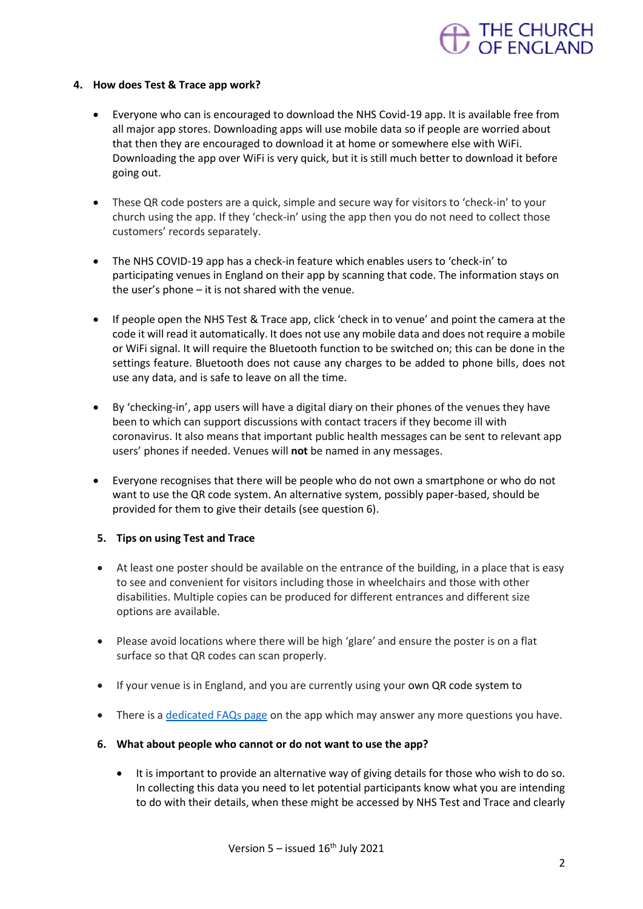# THE CHURCH<br>OF ENGLAND

# **4. How does Test & Trace app work?**

- Everyone who can is encouraged to download the NHS Covid-19 app. It is available free from all major app stores. Downloading apps will use mobile data so if people are worried about that then they are encouraged to download it at home or somewhere else with WiFi. Downloading the app over WiFi is very quick, but it is still much better to download it before going out.
- These QR code posters are a quick, simple and secure way for visitors to 'check-in' to your church using the app. If they 'check-in' using the app then you do not need to collect those customers' records separately.
- The NHS COVID-19 app has a check-in feature which enables users to 'check-in' to participating venues in England on their app by scanning that code. The information stays on the user's phone – it is not shared with the venue.
- If people open the NHS Test & Trace app, click 'check in to venue' and point the camera at the code it will read it automatically. It does not use any mobile data and does not require a mobile or WiFi signal. It will require the Bluetooth function to be switched on; this can be done in the settings feature. Bluetooth does not cause any charges to be added to phone bills, does not use any data, and is safe to leave on all the time.
- By 'checking-in', app users will have a digital diary on their phones of the venues they have been to which can support discussions with contact tracers if they become ill with coronavirus. It also means that important public health messages can be sent to relevant app users' phones if needed. Venues will **not** be named in any messages.
- Everyone recognises that there will be people who do not own a smartphone or who do not want to use the QR code system. An alternative system, possibly paper-based, should be provided for them to give their details (see question 6).

# **5. Tips on using Test and Trace**

- At least one poster should be available on the entrance of the building, in a place that is easy to see and convenient for visitors including those in wheelchairs and those with other disabilities. Multiple copies can be produced for different entrances and different size options are available.
- Please avoid locations where there will be high 'glare' and ensure the poster is on a flat surface so that QR codes can scan properly.
- If your venue is in England, and you are currently using your own QR code system to
- There is [a dedicated FAQs page](https://faq.covid19.nhs.uk/category/?id=CAT-01027&parentid=CAT-01025) on the app which may answer any more questions you have.
- **6. What about people who cannot or do not want to use the app?**
	- It is important to provide an alternative way of giving details for those who wish to do so. In collecting this data you need to let potential participants know what you are intending to do with their details, when these might be accessed by NHS Test and Trace and clearly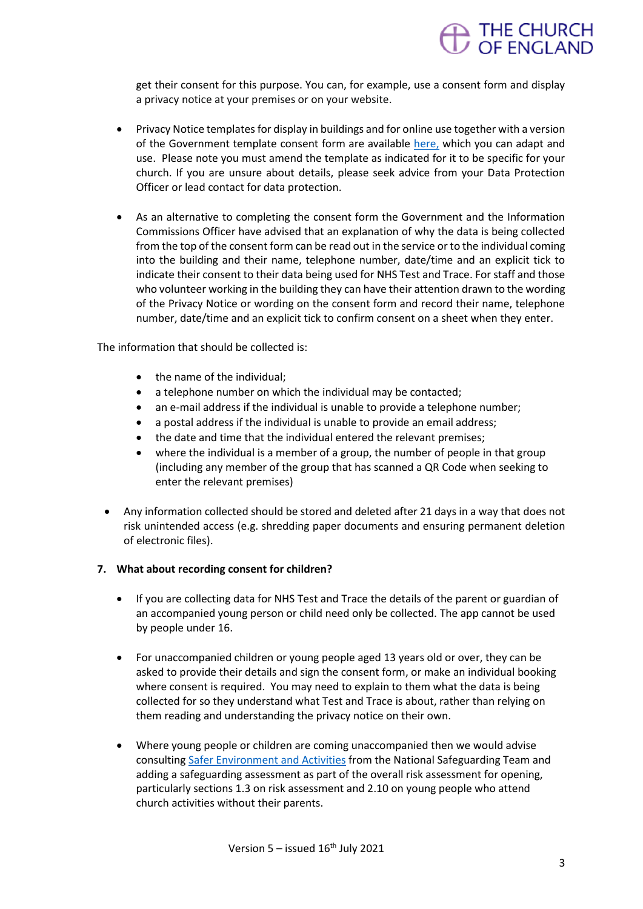

get their consent for this purpose. You can, for example, use a consent form and display a privacy notice at your premises or on your website.

- Privacy Notice templates for display in buildings and for online use together with a version of the Government template consent form are available [here,](https://www.churchofengland.org/more/media-centre/coronavirus-covid-19-guidance-churches#documents) which you can adapt and use. Please note you must amend the template as indicated for it to be specific for your church. If you are unsure about details, please seek advice from your Data Protection Officer or lead contact for data protection.
- As an alternative to completing the consent form the Government and the Information Commissions Officer have advised that an explanation of why the data is being collected from the top of the consent form can be read out in the service or to the individual coming into the building and their name, telephone number, date/time and an explicit tick to indicate their consent to their data being used for NHS Test and Trace. For staff and those who volunteer working in the building they can have their attention drawn to the wording of the Privacy Notice or wording on the consent form and record their name, telephone number, date/time and an explicit tick to confirm consent on a sheet when they enter.

The information that should be collected is:

- the name of the individual:
- a telephone number on which the individual may be contacted;
- an e-mail address if the individual is unable to provide a telephone number;
- a postal address if the individual is unable to provide an email address;
- the date and time that the individual entered the relevant premises;
- where the individual is a member of a group, the number of people in that group (including any member of the group that has scanned a QR Code when seeking to enter the relevant premises)
- Any information collected should be stored and deleted after 21 days in a way that does not risk unintended access (e.g. shredding paper documents and ensuring permanent deletion of electronic files).

### **7. What about recording consent for children?**

- If you are collecting data for NHS Test and Trace the details of the parent or guardian of an accompanied young person or child need only be collected. The app cannot be used by people under 16.
- For unaccompanied children or young people aged 13 years old or over, they can be asked to provide their details and sign the consent form, or make an individual booking where consent is required. You may need to explain to them what the data is being collected for so they understand what Test and Trace is about, rather than relying on them reading and understanding the privacy notice on their own.
- Where young people or children are coming unaccompanied then we would advise consultin[g Safer Environment and Activities](https://www.churchofengland.org/sites/default/files/2019-11/Safer%20Environment%20and%20Activities%20Oct19_0.pdf) from the National Safeguarding Team and adding a safeguarding assessment as part of the overall risk assessment for opening, particularly sections 1.3 on risk assessment and 2.10 on young people who attend church activities without their parents.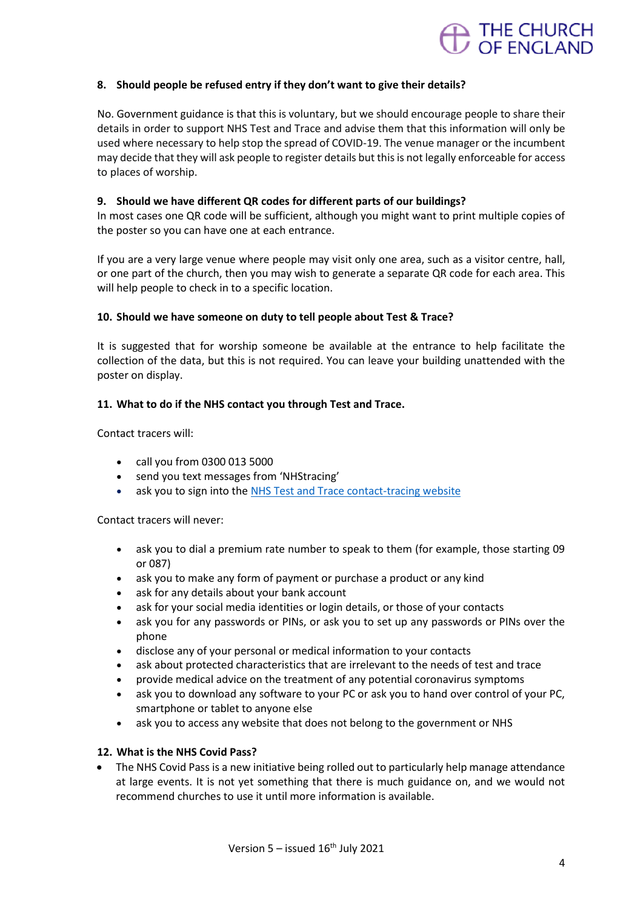

# **8. Should people be refused entry if they don't want to give their details?**

No. Government guidance is that this is voluntary, but we should encourage people to share their details in order to support NHS Test and Trace and advise them that this information will only be used where necessary to help stop the spread of COVID-19. The venue manager or the incumbent may decide that they will ask people to register details but this is not legally enforceable for access to places of worship.

# **9. Should we have different QR codes for different parts of our buildings?**

In most cases one QR code will be sufficient, although you might want to print multiple copies of the poster so you can have one at each entrance.

If you are a very large venue where people may visit only one area, such as a visitor centre, hall, or one part of the church, then you may wish to generate a separate QR code for each area. This will help people to check in to a specific location.

### **10. Should we have someone on duty to tell people about Test & Trace?**

It is suggested that for worship someone be available at the entrance to help facilitate the collection of the data, but this is not required. You can leave your building unattended with the poster on display.

# **11. What to do if the NHS contact you through Test and Trace.**

Contact tracers will:

- call you from 0300 013 5000
- send you text messages from 'NHStracing'
- ask you to sign into the [NHS Test and Trace contact-tracing website](https://eur02.safelinks.protection.outlook.com/?url=https%3A%2F%2Fcontact-tracing.phe.gov.uk%2F&data=02%7C01%7Cmark.betson%40churchofengland.org%7C43c684880268490aeefd08d81f375936%7C95e2463b3ab047b49ac1587c77ee84f0%7C0%7C0%7C637293669882459259&sdata=SZOYLY1PchgkTXLxF5us%2BMg28D3YzzGdWfp6j9Y%2BjNI%3D&reserved=0)

Contact tracers will never:

- ask you to dial a premium rate number to speak to them (for example, those starting 09 or 087)
- ask you to make any form of payment or purchase a product or any kind
- ask for any details about your bank account
- ask for your social media identities or login details, or those of your contacts
- ask you for any passwords or PINs, or ask you to set up any passwords or PINs over the phone
- disclose any of your personal or medical information to your contacts
- ask about protected characteristics that are irrelevant to the needs of test and trace
- provide medical advice on the treatment of any potential coronavirus symptoms
- ask you to download any software to your PC or ask you to hand over control of your PC, smartphone or tablet to anyone else
- ask you to access any website that does not belong to the government or NHS

# **12. What is the NHS Covid Pass?**

• The NHS Covid Pass is a new initiative being rolled out to particularly help manage attendance at large events. It is not yet something that there is much guidance on, and we would not recommend churches to use it until more information is available.